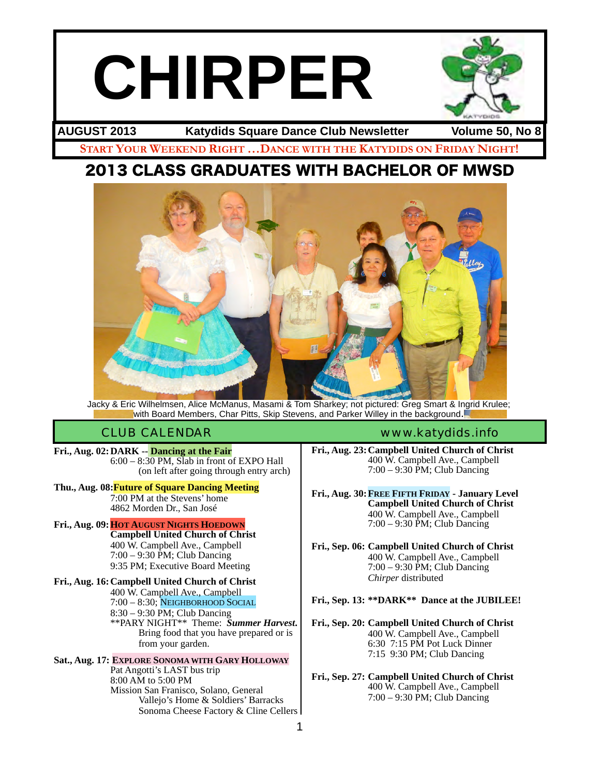# **CHIRPER**

**START YOUR WEEKEND RIGHT …DANCE WITH THE KATYDIDS ON FRIDAY NIGHT! AUGUST 2013 Katydids Square Dance Club Newsletter Volume 50, No 8**

# 2013 CLASS GRADUATES WITH BACHELOR OF MWSD



Jacky & Eric Wilhelmsen, Alice McManus, Masami & Tom Sharkey; not pictured: Greg Smart & Ingrid Krulee; with Board Members, Char Pitts, Skip Stevens, and Parker Willey in the background.

**Fri., Aug. 02: DARK -- Dancing at the Fair**<br>  $6:00 - 8:30$  PM, Slab in front of EXPO Hall<br>
(on left after going through entry arch)

#### **Thu., Aug. 08:Future of Square Dancing Meeting** ! ! 7:00 PM at the Stevens' home ! ! 4862 Morden Dr., San José

**Fri., Aug. 09:HOT AUGUST NIGHTS HOEDOWN ! ! Campbell United Church of Christ** ! ! 400 W. Campbell Ave., Campbell 7:00 – 9:30 PM; Club Dancing 9:35 PM; Executive Board Meeting

**Fri., Aug. 16:Campbell United Church of Christ** ! ! 400 W. Campbell Ave., Campbell 7:00 – 8:30; NEIGHBORHOOD SOCIAL<br>8:30 – 9:30 PM; Club Dancing \*\*PARY NIGHT\*\* Theme: *Summer Harvest*. Bring food that you have prepared or is from your garden.

**Sat., Aug. 17: EXPLORE SONOMA WITH GARY HOLLOWAY** Pat Angotti's LAST bus trip 8:00 AM to 5:00 PM ! ! 8:00 AM to 5:00 PM ! ! Mission San Franisco, Solano, General ! ! ! ! ! Vallejo's Home & Soldiers' Barracks Sonoma Cheese Factory & Cline Cellers

#### CLUB CALENDAR [www.katydids.info](http://www.katydids.info)

**Fri., Aug. 23:Campbell United Church of Christ** ! ! 400 W. Campbell Ave., Campbell ! ! 7:00 – 9:30 PM; Club Dancing

**Fri., Aug. 30:FREE FIFTH FRIDAY - January Level ! ! Campbell United Church of Christ** ! ! 400 W. Campbell Ave., Campbell  $7:00 - 9:30$  PM; Club Dancing

**Fri., Sep. 06: Campbell United Church of Christ** ! ! 400 W. Campbell Ave., Campbell ! ! 7:00 – 9:30 PM; Club Dancing Chirper distributed

#### **Fri., Sep. 13: \*\*DARK\*\* Dance at the JUBILEE!**

**Fri., Sep. 20: Campbell United Church of Christ** ! ! 400 W. Campbell Ave., Campbell ! ! 6:30 7:15 PM Pot Luck Dinner ! ! 7:15 9:30 PM; Club Dancing

**Fri., Sep. 27: Campbell United Church of Christ** 400 W. Campbell Ave., Campbell ! ! 7:00 – 9:30 PM; Club Dancing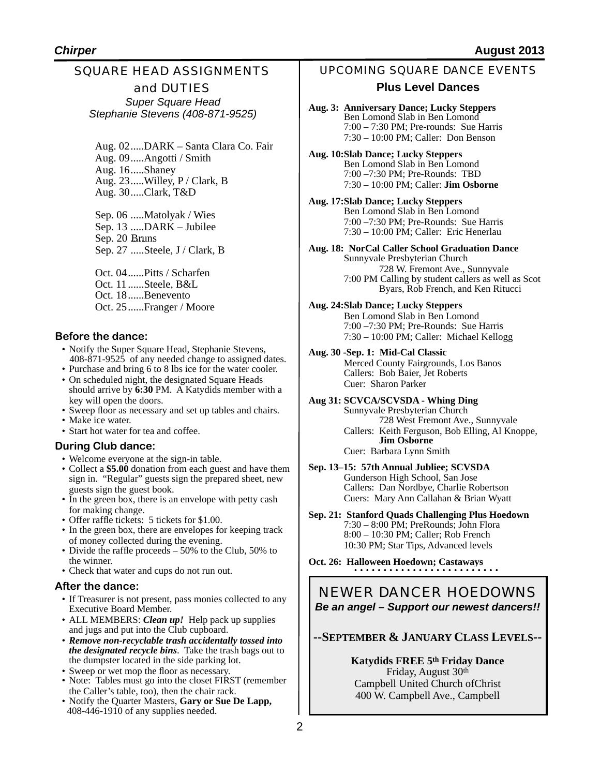#### SQUARE HEAD ASSIGNMENTS and DUTIES *Super Square Head Stephanie Stevens (408-871-9525)*

Aug. 02.....DARK – Santa Clara Co. Fair Aug. 09.....Angotti / Smith Aug. 16.....Shaney Aug. 23.....Willey, P / Clark, B Aug. 30.....Clark, T&D

Sep. 06 .....Matolyak / Wies Sep. 13 .....DARK – Jubilee Sep. 20 Bruns Sep. 27 .....Steele, J / Clark, B

Oct. 04......Pitts / Scharfen Oct. 11 ......Steele, B&L Oct. 18......Benevento Oct. 25......Franger / Moore

#### **Before the dance:**

- Notify the Super Square Head, Stephanie Stevens, 408-871-9525 of any needed change to assigned dates.
- Purchase and bring 6 to 8 lbs ice for the water cooler.
- On scheduled night, the designated Square Heads should arrive by 6:30 PM. A Katydids member with a key will open the doors.
- Sweep floor as necessary and set up tables and chairs.
- Make ice water.
- Start hot water for tea and coffee.

#### **During Club dance:**

- Welcome everyone at the sign-in table.
- Collect a **\$5.00** donation from each guest and have them sign in. "Regular" guests sign the prepared sheet, new guests sign the guest book.
- In the green box, there is an envelope with petty cash for making change.
- Offer raffle tickets: 5 tickets for \$1.00.
- In the green box, there are envelopes for keeping track of money collected during the evening.
- Divide the raffle proceeds 50% to the Club, 50% to the winner.
- Check that water and cups do not run out.

#### **After the dance:**

- If Treasurer is not present, pass monies collected to any Executive Board Member.
- ALL MEMBERS: *Clean up!* Help pack up supplies and jugs and put into the Club cupboard.
- *Remove non-recyclable trash accidentally tossed into the designated recycle bins*. Take the trash bags out to the dumpster located in the side parking lot.
- Sweep or wet mop the floor as necessary.
- Note: Tables must go into the closet FIRST (remember the Caller's table, too), then the chair rack.
- Notify the Quarter Masters, **Gary or Sue De Lapp,**  408-446-1910 of any supplies needed.

#### UPCOMING SQUARE DANCE EVENTS

#### **Plus Level Dances**

- **Aug. 3: Anniversary Dance; Lucky Steppers** Ben Lomond Slab in Ben Lomond 7:00 – 7:30 PM; Pre-rounds: Sue Harris 7:30 – 10:00 PM; Caller: Don Benson
- **Aug. 10:Slab Dance; Lucky Steppers** Ben Lomond Slab in Ben Lomond 7:00 –7:30 PM; Pre-Rounds: TBD 7:30 – 10:00 PM; Caller: **Jim Osborne**
- **Aug. 17:Slab Dance; Lucky Steppers** Ben Lomond Slab in Ben Lomond 7:00 –7:30 PM; Pre-Rounds: Sue Harris 7:30 – 10:00 PM; Caller: Eric Henerlau
- **Aug. 18: NorCal Caller School Graduation Dance** Sunnyvale Presbyterian Church 728 W. Fremont Ave., Sunnyvale 7:00 PM Calling by student callers as well as Scot Byars, Rob French, and Ken Ritucci
- **Aug. 24:Slab Dance; Lucky Steppers** Ben Lomond Slab in Ben Lomond 7:00 –7:30 PM; Pre-Rounds: Sue Harris 7:30 – 10:00 PM; Caller: Michael Kellogg
- **Aug. 30 -Sep. 1: Mid-Cal Classic** Merced County Fairgrounds, Los Banos Callers: Bob Baier, Jet Roberts Cuer: Sharon Parker
- **Aug 31: SCVCA/SCVSDA Whing Ding**

Sunnyvale Presbyterian Church 728 West Fremont Ave., Sunnyvale Callers: Keith Ferguson, Bob Elling, Al Knoppe, **! ! Jim Osborne** Cuer: Barbara Lynn Smith

#### **Sep. 13–15: 57th Annual Jubliee; SCVSDA** Gunderson High School, San Jose Callers: Dan Nordbye, Charlie Robertson Cuers: Mary Ann Callahan & Brian Wyatt

- **Sep. 21: Stanford Quads Challenging Plus Hoedown** 7:30 – 8:00 PM; PreRounds; John Flora 8:00 – 10:30 PM; Caller; Rob French 10:30 PM; Star Tips, Advanced levels
- **Oct. 26: Halloween Hoedown; Castaways**

#### NEWER DANCER HOEDOWNS *Be an angel – Support our newest dancers!!*

#### **--SEPTEMBER & JANUARY CLASS LEVELS--**

#### **Katydids FREE 5th Friday Dance** Friday, August 30th Campbell United Church ofChrist 400 W. Campbell Ave., Campbell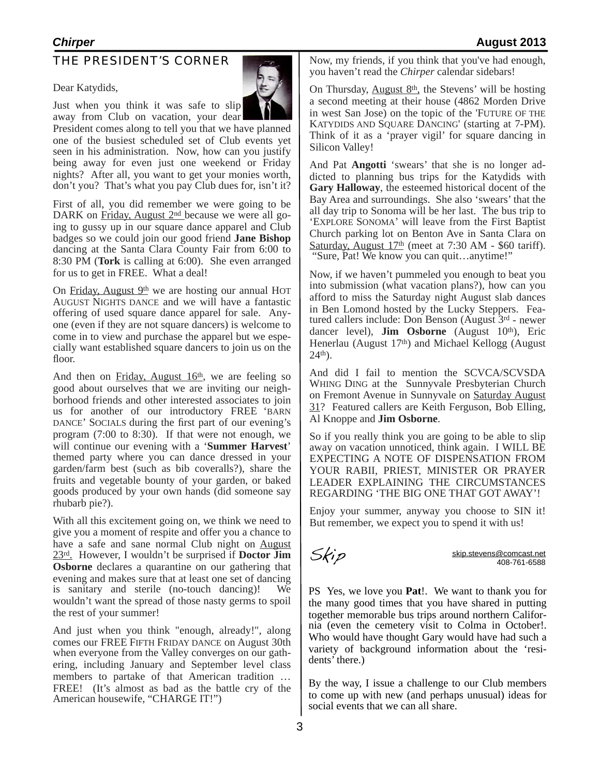#### THE PRESIDENT'S CORNER

Dear Katydids,

Just when you think it was safe to slip

 President comes along to tell you that we have planned away from Club on vacation, your dear one of the busiest scheduled set of Club events yet seen in his administration. Now, how can you justify being away for even just one weekend or Friday nights? After all, you want to get your monies worth, don't you? That's what you pay Club dues for, isn't it?

First of all, you did remember we were going to be DARK on Friday, August 2<sup>nd</sup> because we were all going to gussy up in our square dance apparel and Club badges so we could join our good friend **Jane Bishop** dancing at the Santa Clara County Fair from 6:00 to 8:30 PM (**Tork** is calling at 6:00). She even arranged for us to get in FREE. What a deal!

On Friday, August 9th we are hosting our annual HOT AUGUST NIGHTS DANCE and we will have a fantastic offering of used square dance apparel for sale. Anyone (even if they are not square dancers) is welcome to come in to view and purchase the apparel but we especially want established square dancers to join us on the floor.

And then on Friday, August  $16<sup>th</sup>$ , we are feeling so good about ourselves that we are inviting our neighborhood friends and other interested associates to join us for another of our introductory FREE 'BARN DANCE' SOCIALS during the first part of our evening's program (7:00 to 8:30). If that were not enough, we will continue our evening with a '**Summer Harvest**' themed party where you can dance dressed in your garden/farm best (such as bib coveralls?), share the fruits and vegetable bounty of your garden, or baked goods produced by your own hands (did someone say rhubarb pie?).

With all this excitement going on, we think we need to give you a moment of respite and offer you a chance to have a safe and sane normal Club night on August 23rd. However, I wouldn't be surprised if **Doctor Jim Osborne** declares a quarantine on our gathering that evening and makes sure that at least one set of dancing is sanitary and sterile (no-touch dancing)! We wouldn't want the spread of those nasty germs to spoil the rest of your summer!

And just when you think "enough, already!", along comes our FREE FIFTH FRIDAY DANCE on August 30th when everyone from the Valley converges on our gathering, including January and September level class members to partake of that American tradition … FREE! (It's almost as bad as the battle cry of the American housewife, "CHARGE IT!")

Now, my friends, if you think that you've had enough, you haven't read the *Chirper* calendar sidebars!

On Thursday, August  $8<sup>th</sup>$ , the Stevens' will be hosting a second meeting at their house (4862 Morden Drive in west San Jose) on the topic of the 'FUTURE OF THE KATYDIDS AND SQUARE DANCING' (starting at 7-PM). Think of it as a 'prayer vigil' for square dancing in Silicon Valley!

And Pat **Angotti** 'swears' that she is no longer addicted to planning bus trips for the Katydids with **Gary Halloway**, the esteemed historical docent of the Bay Area and surroundings. She also 'swears' that the all day trip to Sonoma will be her last. The bus trip to 'EXPLORE SONOMA' will leave from the First Baptist Church parking lot on Benton Ave in Santa Clara on Saturday, August 17<sup>th</sup> (meet at 7:30 AM - \$60 tariff). "Sure, Pat! We know you can quit…anytime!"

Now, if we haven't pummeled you enough to beat you into submission (what vacation plans?), how can you afford to miss the Saturday night August slab dances in Ben Lomond hosted by the Lucky Steppers. Featured callers include: Don Benson (August 3rd - newer dancer level), **Jim Osborne** (August 10<sup>th</sup>), Eric Henerlau (August 17<sup>th</sup>) and Michael Kellogg (August 24th).

And did I fail to mention the SCVCA/SCVSDA WHING DING at the Sunnyvale Presbyterian Church on Fremont Avenue in Sunnyvale on Saturday August 31? Featured callers are Keith Ferguson, Bob Elling, Al Knoppe and **Jim Osborne**.

So if you really think you are going to be able to slip away on vacation unnoticed, think again. I WILL BE EXPECTING A NOTE OF DISPENSATION FROM YOUR RABII, PRIEST, MINISTER OR PRAYER LEADER EXPLAINING THE CIRCUMSTANCES REGARDING 'THE BIG ONE THAT GOT AWAY'!

Enjoy your summer, anyway you choose to SIN it! But remember, we expect you to spend it with us!

 $\overrightarrow{S}$ 

PS Yes, we love you **Pat**!. We want to thank you for the many good times that you have shared in putting<br>together memorable bus trips around northern California (even the cemetery visit to Colma in October!. Who would have thought Gary would have had such a variety of background information about the 'residents' there.)

By the way, I issue a challenge to our Club members to come up with new (and perhaps unusual) ideas for social events that we can all share.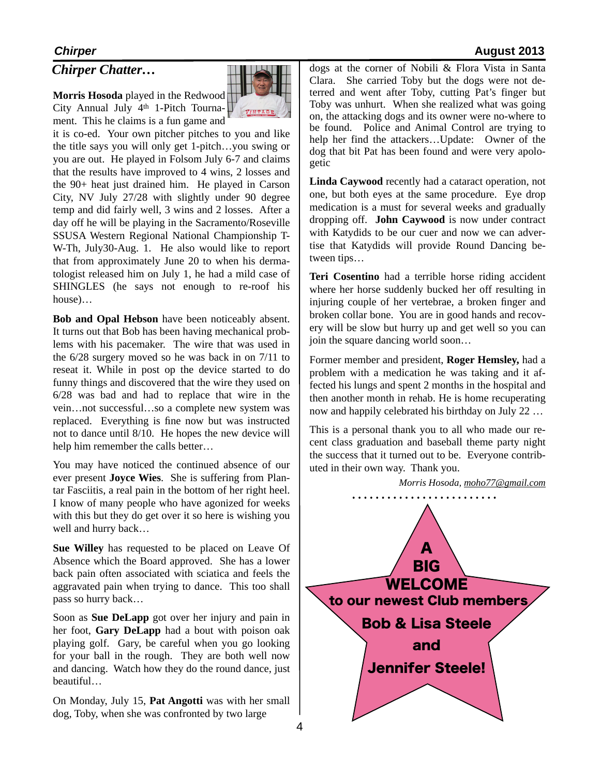#### *Chirper Chatter…*

**Morris Hosoda** played in the Redwood City Annual July 4th 1-Pitch Tourna- $\bigcup \bigcup_{\forall x,y,z\in S}$ ment. This he claims is a fun game and



it is co-ed. Your own pitcher pitches to you and like the title says you will only get 1-pitch…you swing or you are out. He played in Folsom July 6-7 and claims that the results have improved to 4 wins, 2 losses and the 90+ heat just drained him. He played in Carson City, NV July 27/28 with slightly under 90 degree temp and did fairly well, 3 wins and 2 losses. After a day off he will be playing in the Sacramento/Roseville SSUSA Western Regional National Championship T-W-Th, July30-Aug. 1. He also would like to report that from approximately June 20 to when his dermatologist released him on July 1, he had a mild case of SHINGLES (he says not enough to re-roof his house)…

**Bob and Opal Hebson** have been noticeably absent. It turns out that Bob has been having mechanical problems with his pacemaker. The wire that was used in the 6/28 surgery moved so he was back in on 7/11 to reseat it. While in post op the device started to do funny things and discovered that the wire they used on 6/28 was bad and had to replace that wire in the vein…not successful…so a complete new system was replaced. Everything is fine now but was instructed not to dance until 8/10. He hopes the new device will help him remember the calls better…

You may have noticed the continued absence of our ever present **Joyce Wies**. She is suffering from Plantar Fasciitis, a real pain in the bottom of her right heel. I know of many people who have agonized for weeks with this but they do get over it so here is wishing you well and hurry back…

**Sue Willey** has requested to be placed on Leave Of Absence which the Board approved. She has a lower back pain often associated with sciatica and feels the aggravated pain when trying to dance. This too shall pass so hurry back…

Soon as **Sue DeLapp** got over her injury and pain in her foot, **Gary DeLapp** had a bout with poison oak playing golf. Gary, be careful when you go looking for your ball in the rough. They are both well now and dancing. Watch how they do the round dance, just beautiful…

On Monday, July 15, **Pat Angotti** was with her small dog, Toby, when she was confronted by two large

dogs at the corner of Nobili & Flora Vista in Santa Clara. She carried Toby but the dogs were not deterred and went after Toby, cutting Pat's finger but Toby was unhurt. When she realized what was going on, the attacking dogs and its owner were no-where to be found. Police and Animal Control are trying to help her find the attackers…Update: Owner of the dog that bit Pat has been found and were very apologetic

**Linda Caywood** recently had a cataract operation, not one, but both eyes at the same procedure. Eye drop medication is a must for several weeks and gradually dropping off. **John Caywood** is now under contract with Katydids to be our cuer and now we can advertise that Katydids will provide Round Dancing between tips…

**Teri Cosentino** had a terrible horse riding accident where her horse suddenly bucked her off resulting in injuring couple of her vertebrae, a broken finger and broken collar bone. You are in good hands and recovery will be slow but hurry up and get well so you can join the square dancing world soon…

Former member and president, **Roger Hemsley,** had a problem with a medication he was taking and it affected his lungs and spent 2 months in the hospital and then another month in rehab. He is home recuperating now and happily celebrated his birthday on July 22 …

This is a personal thank you to all who made our recent class graduation and baseball theme party night the success that it turned out to be. Everyone contributed in their own way. Thank you.



#### *Chirper* **August 2013**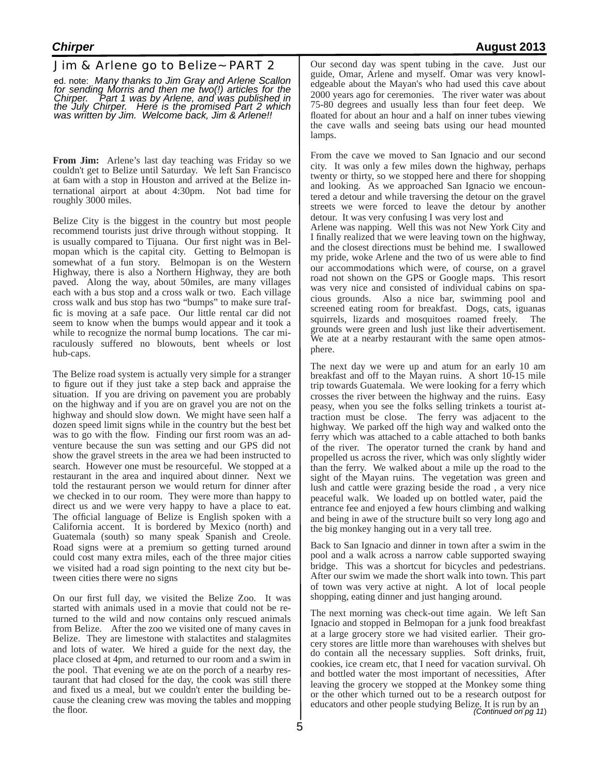#### Jim & Arlene go to Belize~ PART 2

ed. note: *Many thanks to Jim Gray and Arlene Scallon for sending Morris and then me two(!) articles for the Chirper. Part 1 was by Arlene, and was published in the July Chirper. Here is the promised Part 2 which was written by Jim. Welcome back, Jim & Arlene!!*

**From Jim:** Arlene's last day teaching was Friday so we couldn't get to Belize until Saturday. We left San Francisco at 6am with a stop in Houston and arrived at the Belize international airport at about 4:30pm. Not bad time for roughly 3000 miles.

Belize City is the biggest in the country but most people recommend tourists just drive through without stopping. It is usually compared to Tijuana. Our first night was in Belmopan which is the capital city. Getting to Belmopan is somewhat of a fun story. Belmopan is on the Western Highway, there is also a Northern Highway, they are both paved. Along the way, about 50miles, are many villages each with a bus stop and a cross walk or two. Each village cross walk and bus stop has two "bumps" to make sure traffic is moving at a safe pace. Our little rental car did not seem to know when the bumps would appear and it took a while to recognize the normal bump locations. The car miraculously suffered no blowouts, bent wheels or lost hub-caps.

The Belize road system is actually very simple for a stranger to figure out if they just take a step back and appraise the situation. If you are driving on pavement you are probably on the highway and if you are on gravel you are not on the highway and should slow down. We might have seen half a dozen speed limit signs while in the country but the best bet was to go with the flow. Finding our first room was an adventure because the sun was setting and our GPS did not show the gravel streets in the area we had been instructed to search. However one must be resourceful. We stopped at a restaurant in the area and inquired about dinner. Next we told the restaurant person we would return for dinner after we checked in to our room. They were more than happy to direct us and we were very happy to have a place to eat. The official language of Belize is English spoken with a California accent. It is bordered by Mexico (north) and Guatemala (south) so many speak Spanish and Creole. Road signs were at a premium so getting turned around could cost many extra miles, each of the three major cities we visited had a road sign pointing to the next city but between cities there were no signs

On our first full day, we visited the Belize Zoo. It was started with animals used in a movie that could not be returned to the wild and now contains only rescued animals from Belize. After the zoo we visited one of many caves in Belize. They are limestone with stalactites and stalagmites and lots of water. We hired a guide for the next day, the place closed at 4pm, and returned to our room and a swim in the pool. That evening we ate on the porch of a nearby res- taurant that had closed for the day, the cook was still there and fixed us a meal, but we couldn't enter the building because the cleaning crew was moving the tables and mopping the floor.

Our second day was spent tubing in the cave. Just our guide, Omar, Arlene and myself. Omar was very knowledgeable about the Mayan's who had used this cave about 2000 years ago for ceremonies. The river water was about 75-80 degrees and usually less than four feet deep. We floated for about an hour and a half on inner tubes viewing the cave walls and seeing bats using our head mounted lamps.

From the cave we moved to San Ignacio and our second city. It was only a few miles down the highway, perhaps twenty or thirty, so we stopped here and there for shopping and looking. As we approached San Ignacio we encountered a detour and while traversing the detour on the gravel streets we were forced to leave the detour by another detour. It was very confusing I was very lost and

Arlene was napping. Well this was not New York City and I finally realized that we were leaving town on the highway, and the closest directions must be behind me. I swallowed my pride, woke Arlene and the two of us were able to find our accommodations which were, of course, on a gravel road not shown on the GPS or Google maps. This resort was very nice and consisted of individual cabins on spacious grounds. Also a nice bar, swimming pool and screened eating room for breakfast. Dogs, cats, iguanas squirrels, lizards and mosquitoes roamed freely. The grounds were green and lush just like their advertisement. We ate at a nearby restaurant with the same open atmosphere.

The next day we were up and atum for an early 10 am breakfast and off to the Mayan ruins. A short 10-15 mile trip towards Guatemala. We were looking for a ferry which crosses the river between the highway and the ruins. Easy peasy, when you see the folks selling trinkets a tourist attraction must be close. The ferry was adjacent to the highway. We parked off the high way and walked onto the ferry which was attached to a cable attached to both banks of the river. The operator turned the crank by hand and propelled us across the river, which was only slightly wider than the ferry. We walked about a mile up the road to the sight of the Mayan ruins. The vegetation was green and lush and cattle were grazing beside the road , a very nice peaceful walk. We loaded up on bottled water, paid the entrance fee and enjoyed a few hours climbing and walking and being in awe of the structure built so very long ago and the big monkey hanging out in a very tall tree.

Back to San Ignacio and dinner in town after a swim in the pool and a walk across a narrow cable supported swaying bridge. This was a shortcut for bicycles and pedestrians. After our swim we made the short walk into town. This part of town was very active at night. A lot of local people shopping, eating dinner and just hanging around.

The next morning was check-out time again. We left San Ignacio and stopped in Belmopan for a junk food breakfast at a large grocery store we had visited earlier. Their grocery stores are little more than warehouses with shelves but do contain all the necessary supplies. Soft drinks, fruit, cookies, ice cream etc, that I need for vacation survival. Oh and bottled water the most important of necessities, After leaving the grocery we stopped at the Monkey some thing or the other which turned out to be a research outpost for educators and other people studying Belize. It is run by an *(Continued on pg 11*)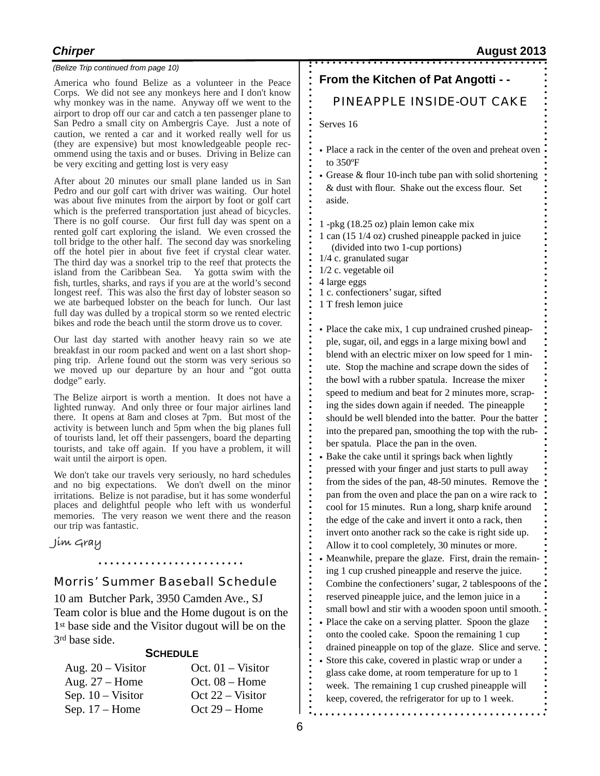#### *(Belize Trip continued from page 10)*

America who found Belize as a volunteer in the Peace Corps. We did not see any monkeys here and I don't know why monkey was in the name. Anyway off we went to the airport to drop off our car and catch a ten passenger plane to San Pedro a small city on Ambergris Caye. Just a note of caution, we rented a car and it worked really well for us (they are expensive) but most knowledgeable people recommend using the taxis and or buses. Driving in Belize can be very exciting and getting lost is very easy

After about 20 minutes our small plane landed us in San Pedro and our golf cart with driver was waiting. Our hotel was about five minutes from the airport by foot or golf cart which is the preferred transportation just ahead of bicycles. There is no golf course. Our first full day was spent on a rented golf cart exploring the island. We even crossed the toll bridge to the other half. The second day was snorkeling off the hotel pier in about five feet if crystal clear water. The third day was a snorkel trip to the reef that protects the island from the Caribbean Sea. Ya gotta swim with the fish, turtles, sharks, and rays if you are at the world's second longest reef. This was also the first day of lobster season so we ate barbequed lobster on the beach for lunch. Our last full day was dulled by a tropical storm so we rented electric bikes and rode the beach until the storm drove us to cover.

Our last day started with another heavy rain so we ate breakfast in our room packed and went on a last short shopping trip. Arlene found out the storm was very serious so we moved up our departure by an hour and "got outta dodge" early.

The Belize airport is worth a mention. It does not have a lighted runway. And only three or four major airlines land there. It opens at 8am and closes at 7pm. But most of the activity is between lunch and 5pm when the big planes full of tourists land, let off their passengers, board the departing tourists, and take off again. If you have a problem, it will wait until the airport is open.

We don't take our travels very seriously, no hard schedules and no big expectations. We don't dwell on the minor irritations. Belize is not paradise, but it has some wonderful places and delightful people who left with us wonderful memories. The very reason we went there and the reason our trip was fantastic.

**Jim Gray**

#### Morris' Summer Baseball Schedule

. . . . . . . . . . . . . . . . .

10 am Butcher Park, 3950 Camden Ave., SJ Team color is blue and the Home dugout is on the 1st base side and the Visitor dugout will be on the 3rd base side.

#### **SCHEDULE**

| Aug. 20 – Visitor | Oct. $01 - Visitor$ |
|-------------------|---------------------|
| Aug. $27 -$ Home  | Oct. $08 -$ Home    |
| Sep. 10 – Visitor | $Oct 22 - Visitor$  |
| Sep. $17 -$ Home  | $Oct 29 - Home$     |

#### *Chirper* **August 2013**

#### **From the Kitchen of Pat Angotti - -**

#### PINEAPPLE INSIDE-OUT CAKE

Serves 16

- Place a rack in the center of the oven and preheat oven to 350ºF
- Grease  $&$  flour 10-inch tube pan with solid shortening & dust with flour. Shake out the excess flour. Set aside.
- 1 -pkg (18.25 oz) plain lemon cake mix
- 1 can (15 1/4 oz) crushed pineapple packed in juice (divided into two 1-cup portions)
- 1/4 c. granulated sugar
- 1/2 c. vegetable oil
- 4 large eggs
- 1 c. confectioners' sugar, sifted
- 1 T fresh lemon juice
- Place the cake mix, 1 cup undrained crushed pineapple, sugar, oil, and eggs in a large mixing bowl and blend with an electric mixer on low speed for 1 minute. Stop the machine and scrape down the sides of the bowl with a rubber spatula. Increase the mixer speed to medium and beat for 2 minutes more, scraping the sides down again if needed. The pineapple should be well blended into the batter. Pour the batter into the prepared pan, smoothing the top with the rubber spatula. Place the pan in the oven.
- Bake the cake until it springs back when lightly pressed with your finger and just starts to pull away from the sides of the pan, 48-50 minutes. Remove the pan from the oven and place the pan on a wire rack to cool for 15 minutes. Run a long, sharp knife around the edge of the cake and invert it onto a rack, then invert onto another rack so the cake is right side up. Allow it to cool completely, 30 minutes or more.
- Meanwhile, prepare the glaze. First, drain the remaining 1 cup crushed pineapple and reserve the juice. Combine the confectioners' sugar, 2 tablespoons of the reserved pineapple juice, and the lemon juice in a small bowl and stir with a wooden spoon until smooth.
- Place the cake on a serving platter. Spoon the glaze onto the cooled cake. Spoon the remaining 1 cup drained pineapple on top of the glaze. Slice and serve.
- Store this cake, covered in plastic wrap or under a glass cake dome, at room temperature for up to 1 week. The remaining 1 cup crushed pineapple will keep, covered, the refrigerator for up to 1 week.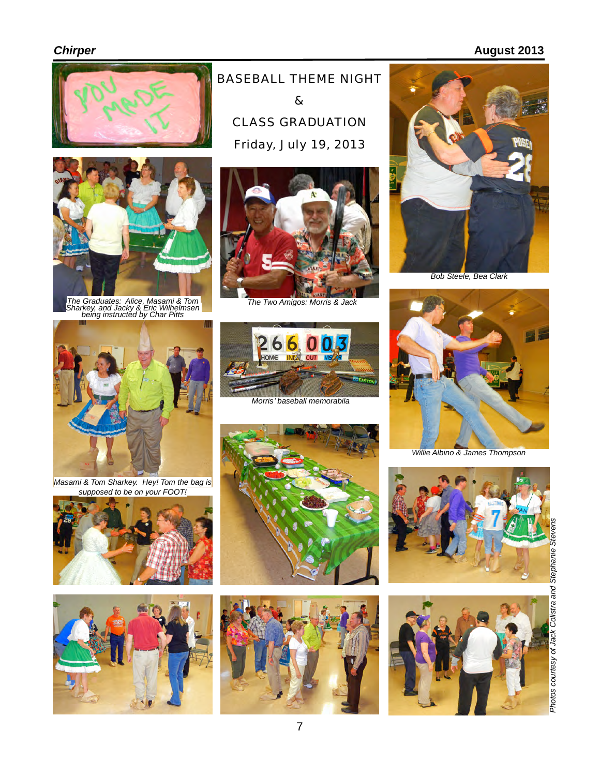## **Chirper August 2013**





*The Graduates: Alice, Masami & Tom The Two Amigos: Morris & Jack Sharkey, and Jacky & Eric Wilhelmsen being instructed by Char Pitts*







*Morris*' *baseball memorabila*



*Bob Steele, Bea Clark*



*Willie Albino & James Thompson*







*Masami & Tom Sharkey. Hey! Tom the bag is supposed to be on your FOOT!*







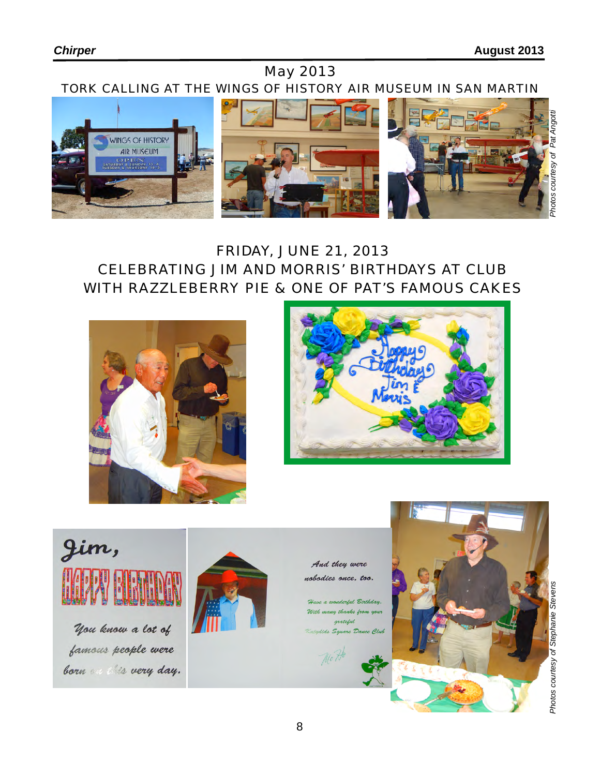# May 2013



# FRIDAY, JUNE 21, 2013 CELEBRATING JIM AND MORRIS' BIRTHDAYS AT CLUB WITH RAZZLEBERRY PIE & ONE OF PAT'S FAMOUS CAKES







you know a lot of famous people were born on this very day.



And they were nobodies once, too.

lerlul Birthdau. e thanks bu grateful ts Square Dance Club

Mo 71



*Photos courtesy of Stephanie Stevens Photos courtesy of Pat Angotti*Photos courtesy of Stephanie Stevens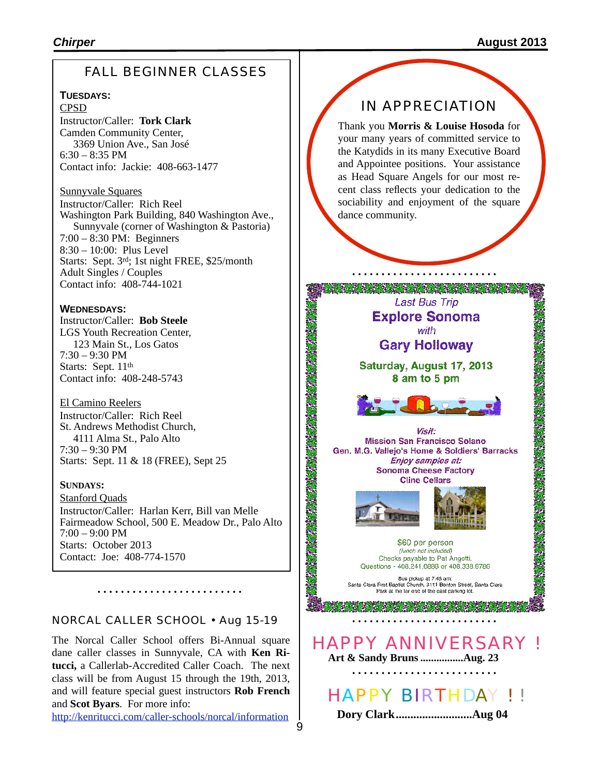## FALL BEGINNER CLASSES

#### **TUESDAYS:**

CPSD Instructor/Caller: **Tork Clark** Camden Community Center, 3369 Union Ave., San José  $6:30 - 8:35$  PM Contact info: Jackie: 408-663-1477

#### Sunnyvale Squares

Instructor/Caller: Rich Reel Washington Park Building, 840 Washington Ave., Sunnyvale (corner of Washington & Pastoria) 7:00 – 8:30 PM: Beginners 8:30 – 10:00: Plus Level Starts: Sept. 3rd; 1st night FREE, \$25/month Adult Singles / Couples Contact info: 408-744-1021

#### **WEDNESDAYS:**

Instructor/Caller: **Bob Steele** LGS Youth Recreation Center, 123 Main St., Los Gatos 7:30 – 9:30 PM Starts: Sept. 11<sup>th</sup> Contact info: 408-248-5743

#### El Camino Reelers Instructor/Caller: Rich Reel St. Andrews Methodist Church, 4111 Alma St., Palo Alto  $7:30 - 9:30$  PM Starts: Sept. 11 & 18 (FREE), Sept 25

#### **SUNDAYS:**

Stanford Quads Instructor/Caller: Harlan Kerr, Bill van Melle Fairmeadow School, 500 E. Meadow Dr., Palo Alto 7:00 – 9:00 PM Starts: October 2013 Contact: Joe: 408-774-1570

NORCAL CALLER SCHOOL • Aug 15-19

The Norcal Caller School offers Bi-Annual square dane caller classes in Sunnyvale, CA with **Ken Ritucci,** a Callerlab-Accredited Caller Coach. The next class will be from August 15 through the 19th, 2013, and will feature special guest instructors **Rob French** and **Scot Byars**. For more info:

<http://kenritucci.com/caller-schools/norcal/information>

## IN APPRECIATION

Thank you **Morris & Louise Hosoda** for your many years of committed service to the Katydids in its many Executive Board and Appointee positions. Your assistance as Head Square Angels for our most recent class reflects your dedication to the sociability and enjoyment of the square dance community.